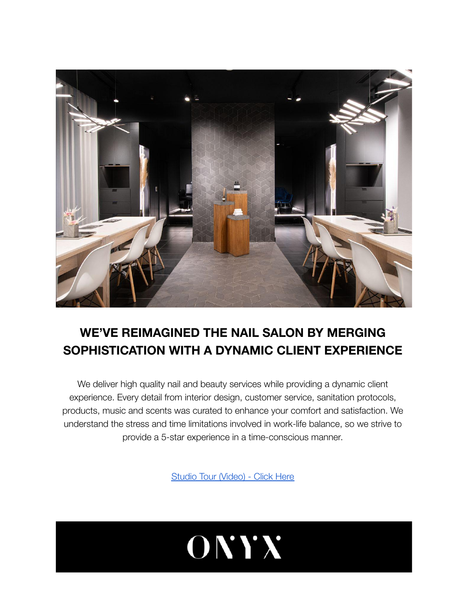

## **WE'VE REIMAGINED THE NAIL SALON BY MERGING SOPHISTICATION WITH A DYNAMIC CLIENT EXPERIENCE**

We deliver high quality nail and beauty services while providing a dynamic client experience. Every detail from interior design, customer service, sanitation protocols, products, music and scents was curated to enhance your comfort and satisfaction. We understand the stress and time limitations involved in work-life balance, so we strive to provide a 5-star experience in a time-conscious manner.

[Studio Tour \(Video\) - Click Here](https://www.youtube.com/watch?v=AamgEnuE7Dw)

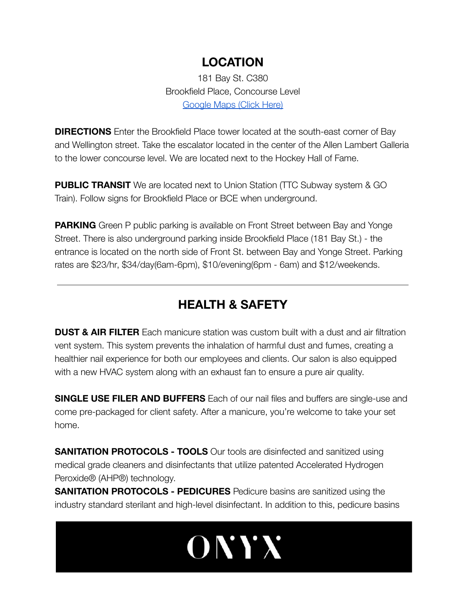#### **LOCATION**

181 Bay St. C380 Brookfield Place, Concourse Level [Google Maps \(Click Here\)](https://maps.app.goo.gl/WhM6c1miRY6WYq8V8)

**DIRECTIONS** Enter the Brookfield Place tower located at the south-east corner of Bay and Wellington street. Take the escalator located in the center of the Allen Lambert Galleria to the lower concourse level. We are located next to the Hockey Hall of Fame.

**PUBLIC TRANSIT** We are located next to Union Station (TTC Subway system & GO Train). Follow signs for Brookfield Place or BCE when underground.

**PARKING** Green P public parking is available on Front Street between Bay and Yonge Street. There is also underground parking inside Brookfield Place (181 Bay St.) - the entrance is located on the north side of Front St. between Bay and Yonge Street. Parking rates are \$23/hr, \$34/day(6am-6pm), \$10/evening(6pm - 6am) and \$12/weekends.

## **HEALTH & SAFETY**

**DUST & AIR FILTER** Each manicure station was custom built with a dust and air filtration vent system. This system prevents the inhalation of harmful dust and fumes, creating a healthier nail experience for both our employees and clients. Our salon is also equipped with a new HVAC system along with an exhaust fan to ensure a pure air quality.

**SINGLE USE FILER AND BUFFERS** Each of our nail files and buffers are single-use and come pre-packaged for client safety. After a manicure, you're welcome to take your set home.

**SANITATION PROTOCOLS - TOOLS** Our tools are disinfected and sanitized using medical grade cleaners and disinfectants that utilize patented Accelerated Hydrogen Peroxide® (AHP®) technology.

**SANITATION PROTOCOLS - PEDICURES** Pedicure basins are sanitized using the industry standard sterilant and high-level disinfectant. In addition to this, pedicure basins

# ONYX